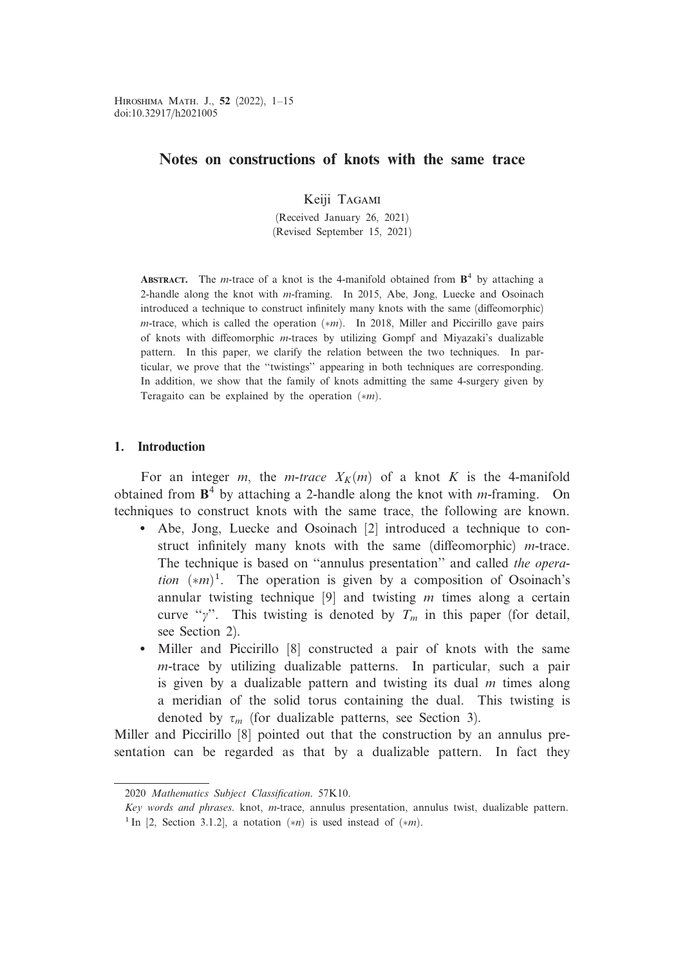Keiji Tagami

(Received January 26, 2021) (Revised September 15, 2021)

**ABSTRACT.** The *m*-trace of a knot is the 4-manifold obtained from  $B<sup>4</sup>$  by attaching a 2-handle along the knot with m-framing. In 2015, Abe, Jong, Luecke and Osoinach introduced a technique to construct infinitely many knots with the same (diffeomorphic) *m*-trace, which is called the operation  $(*m)$ . In 2018, Miller and Piccirillo gave pairs of knots with diffeomorphic *m*-traces by utilizing Gompf and Miyazaki's dualizable pattern. In this paper, we clarify the relation between the two techniques. In particular, we prove that the ''twistings'' appearing in both techniques are corresponding. In addition, we show that the family of knots admitting the same 4-surgery given by Teragaito can be explained by the operation  $(*m)$ .

# 1. Introduction

For an integer m, the m-trace  $X_K(m)$  of a knot K is the 4-manifold obtained from  $\mathbf{B}^4$  by attaching a 2-handle along the knot with *m*-framing. On techniques to construct knots with the same trace, the following are known.

- Abe, Jong, Luecke and Osoinach [2] introduced a technique to construct infinitely many knots with the same (diffeomorphic)  $m$ -trace. The technique is based on ''annulus presentation'' and called the operation  $(*m)^1$ . The operation is given by a composition of Osoinach's annular twisting technique  $[9]$  and twisting m times along a certain curve " $\gamma$ ". This twisting is denoted by  $T_m$  in this paper (for detail, see Section 2).
- Miller and Piccirillo [8] constructed a pair of knots with the same m-trace by utilizing dualizable patterns. In particular, such a pair is given by a dualizable pattern and twisting its dual  $m$  times along a meridian of the solid torus containing the dual. This twisting is denoted by  $\tau_m$  (for dualizable patterns, see Section 3).

Miller and Piccirillo [8] pointed out that the construction by an annulus presentation can be regarded as that by a dualizable pattern. In fact they

<sup>2020</sup> Mathematics Subject Classification. 57K10.

Key words and phrases. knot, m-trace, annulus presentation, annulus twist, dualizable pattern.

<sup>&</sup>lt;sup>1</sup> In [2, Section 3.1.2], a notation  $(*n)$  is used instead of  $(*m)$ .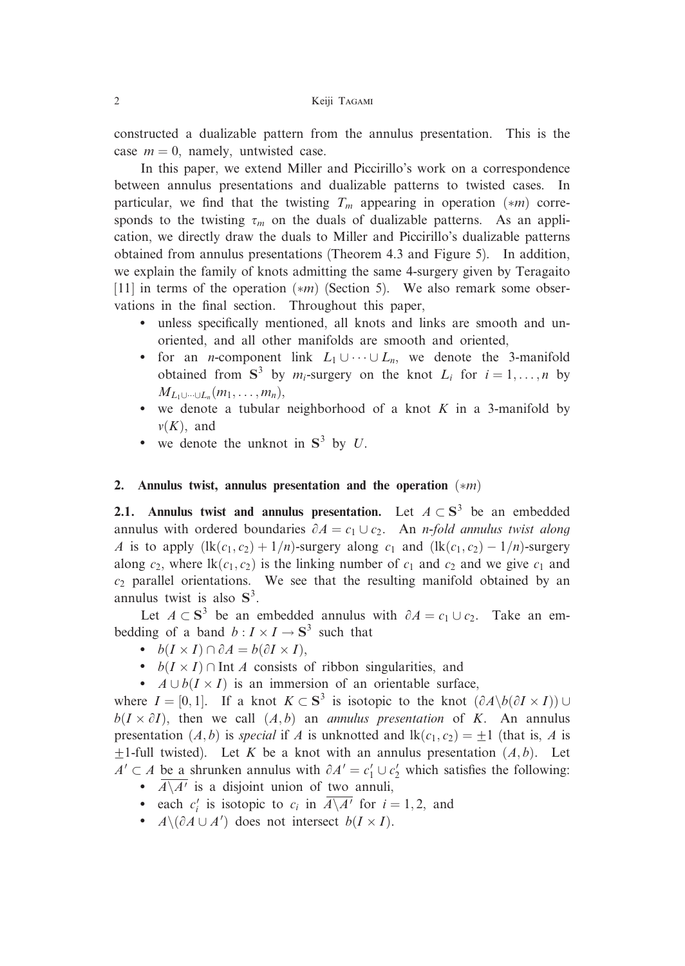constructed a dualizable pattern from the annulus presentation. This is the case  $m = 0$ , namely, untwisted case.

In this paper, we extend Miller and Piccirillo's work on a correspondence between annulus presentations and dualizable patterns to twisted cases. In particular, we find that the twisting  $T_m$  appearing in operation  $(*m)$  corresponds to the twisting  $\tau_m$  on the duals of dualizable patterns. As an application, we directly draw the duals to Miller and Piccirillo's dualizable patterns obtained from annulus presentations (Theorem 4.3 and Figure 5). In addition, we explain the family of knots admitting the same 4-surgery given by Teragaito [11] in terms of the operation  $(*m)$  (Section 5). We also remark some observations in the final section. Throughout this paper,

- unless specifically mentioned, all knots and links are smooth and unoriented, and all other manifolds are smooth and oriented,
- for an *n*-component link  $L_1 \cup \cdots \cup L_n$ , we denote the 3-manifold obtained from  $S^3$  by  $m_i$ -surgery on the knot  $L_i$  for  $i = 1, ..., n$  by  $M_{L_1\cup\cdots\cup L_n}(m_1,\ldots,m_n),$
- we denote a tubular neighborhood of a knot  $K$  in a 3-manifold by  $\nu(K)$ , and
- we denote the unknot in  $S^3$  by U.

# 2. Annulus twist, annulus presentation and the operation  $(*m)$

2.1. Annulus twist and annulus presentation. Let  $A \subset S^3$  be an embedded annulus with ordered boundaries  $\partial A = c_1 \cup c_2$ . An *n-fold annulus twist along* A is to apply  $(\text{lk}(c_1, c_2) + 1/n)$ -surgery along  $c_1$  and  $(\text{lk}(c_1, c_2) - 1/n)$ -surgery along  $c_2$ , where  $lk(c_1, c_2)$  is the linking number of  $c_1$  and  $c_2$  and we give  $c_1$  and  $c<sub>2</sub>$  parallel orientations. We see that the resulting manifold obtained by an annulus twist is also  $S^3$ .

Let  $A \subset S^3$  be an embedded annulus with  $\partial A = c_1 \cup c_2$ . Take an embedding of a band  $b: I \times I \to \mathbf{S}^3$  such that

- $b(I \times I) \cap \partial A = b(\partial I \times I),$
- $b(I \times I) \cap \text{Int } A$  consists of ribbon singularities, and
- $A \cup b(I \times I)$  is an immersion of an orientable surface,

where  $I = [0, 1]$ . If a knot  $K \subset S^3$  is isotopic to the knot  $(\partial A \setminus b(\partial I \times I)) \cup$  $b(I \times \partial I)$ , then we call  $(A, b)$  an *annulus presentation* of K. An annulus presentation  $(A, b)$  is special if A is unknotted and  $lk(c_1, c_2) = \pm 1$  (that is, A is  $\pm$ 1-full twisted). Let K be a knot with an annulus presentation  $(A, b)$ . Let  $A' \subset A$  be a shrunken annulus with  $\partial A' = c_1' \cup c_2'$  which satisfies the following:

- $A \setminus A'$  is a disjoint union of two annuli,
- each  $c_i'$  is isotopic to  $c_i$  in  $\overline{A \setminus A'}$  for  $i = 1, 2$ , and
- $A \setminus (\partial A \cup A')$  does not intersect  $b(I \times I)$ .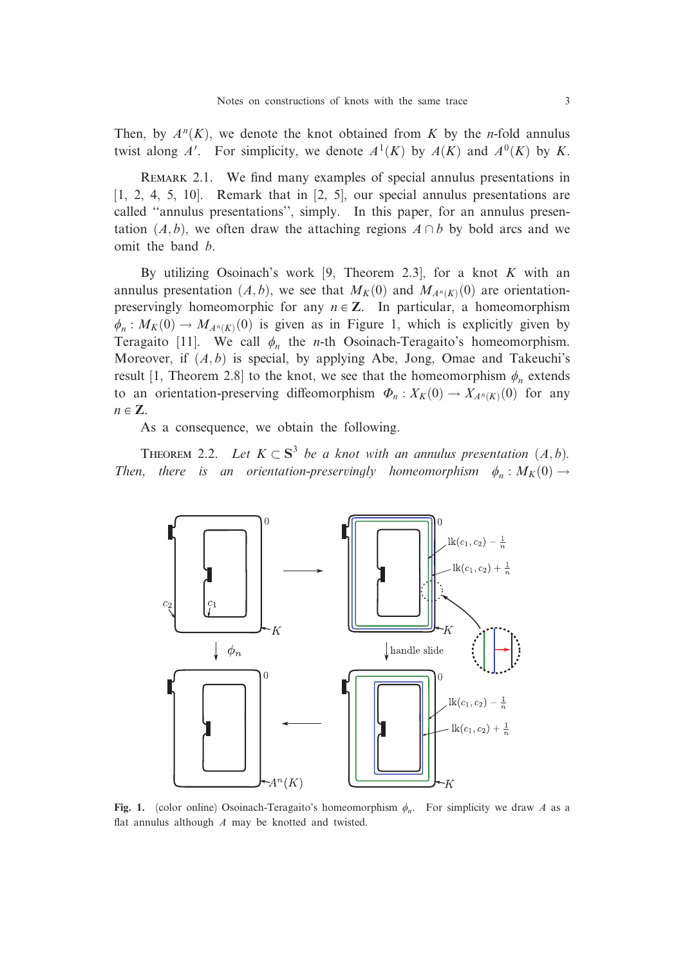Then, by  $A^n(K)$ , we denote the knot obtained from K by the n-fold annulus twist along A'. For simplicity, we denote  $A^1(K)$  by  $A(K)$  and  $A^0(K)$  by K.

REMARK 2.1. We find many examples of special annulus presentations in  $[1, 2, 4, 5, 10]$ . Remark that in  $[2, 5]$ , our special annulus presentations are called ''annulus presentations'', simply. In this paper, for an annulus presentation  $(A, b)$ , we often draw the attaching regions  $A \cap b$  by bold arcs and we omit the band b.

By utilizing Osoinach's work [9, Theorem 2.3], for a knot K with an annulus presentation  $(A, b)$ , we see that  $M_K(0)$  and  $M_{A^n(K)}(0)$  are orientationpreservingly homeomorphic for any  $n \in \mathbb{Z}$ . In particular, a homeomorphism  $\phi_n : M_K(0) \to M_{A^n(K)}(0)$  is given as in Figure 1, which is explicitly given by Teragaito [11]. We call  $\phi_n$  the *n*-th Osoinach-Teragaito's homeomorphism. Moreover, if  $(A, b)$  is special, by applying Abe, Jong, Omae and Takeuchi's result [1, Theorem 2.8] to the knot, we see that the homeomorphism  $\phi_n$  extends to an orientation-preserving diffeomorphism  $\Phi_n : X_K(0) \to X_{A^n(K)}(0)$  for any  $n \in \mathbb{Z}$ .

As a consequence, we obtain the following.

THEOREM 2.2. Let  $K \subset S^3$  be a knot with an annulus presentation  $(A, b)$ . Then, there is an orientation-preservingly homeomorphism  $\phi_n : M_K(0) \rightarrow$ 



Fig. 1. (color online) Osoinach-Teragaito's homeomorphism  $\phi_n$ . For simplicity we draw A as a flat annulus although  $A$  may be knotted and twisted.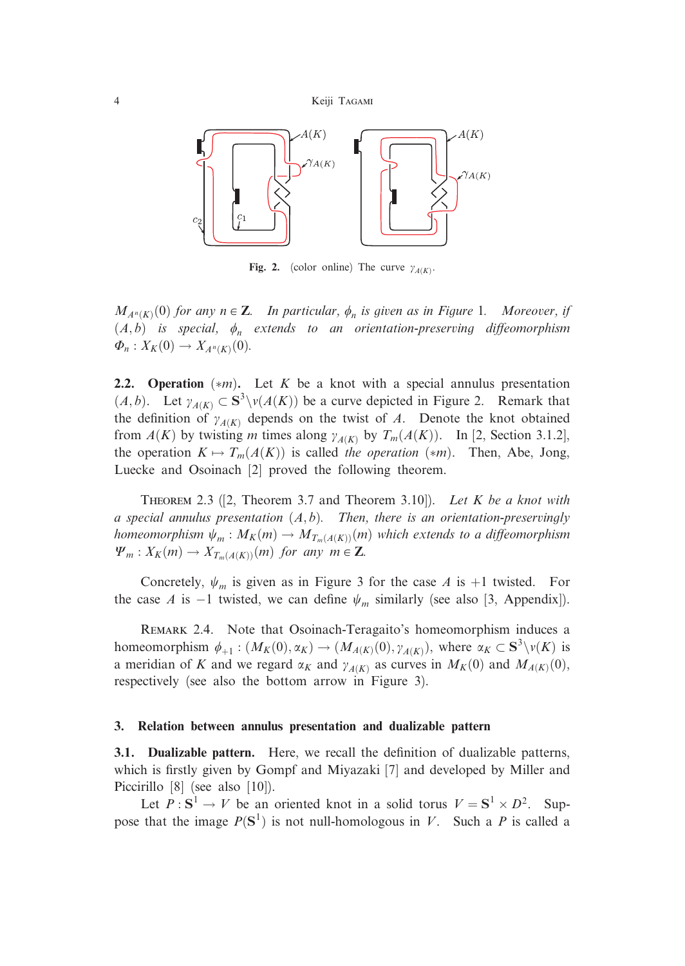4 Keiji Tagami



Fig. 2. (color online) The curve  $\gamma_{A(K)}$ .

 $M_{A^n(K)}(0)$  for any  $n \in \mathbb{Z}$ . In particular,  $\phi_n$  is given as in Figure 1. Moreover, if  $(A,b)$  is special,  $\phi_n$  extends to an orientation-preserving diffeomorphism  $\Phi_n: X_K(0) \to X_{A^n(K)}(0)$ .

2.2. Operation  $(*m)$ . Let K be a knot with a special annulus presentation  $(A, b)$ . Let  $\gamma_{A(K)} \subset S^3 \setminus \nu(A(K))$  be a curve depicted in Figure 2. Remark that the definition of  $\gamma_{A(K)}$  depends on the twist of A. Denote the knot obtained from  $A(K)$  by twisting m times along  $\gamma_{A(K)}$  by  $T_m(A(K))$ . In [2, Section 3.1.2], the operation  $K \mapsto T_m(A(K))$  is called the operation  $(*m)$ . Then, Abe, Jong, Luecke and Osoinach [2] proved the following theorem.

THEOREM 2.3 ([2, Theorem 3.7 and Theorem 3.10]). Let K be a knot with a special annulus presentation  $(A, b)$ . Then, there is an orientation-preservingly homeomorphism  $\psi_m : M_K(m) \to M_{T_m(A(K))}(m)$  which extends to a diffeomorphism  $\Psi_m : X_K(m) \to X_{T_m(A(K))}(m)$  for any  $m \in \mathbb{Z}$ .

Concretely,  $\psi_m$  is given as in Figure 3 for the case A is +1 twisted. For the case A is -1 twisted, we can define  $\psi_m$  similarly (see also [3, Appendix]).

REMARK 2.4. Note that Osoinach-Teragaito's homeomorphism induces a homeomorphism  $\phi_{+1} : (M_K(0), \alpha_K) \to (M_{A(K)}(0), \gamma_{A(K)})$ , where  $\alpha_K \subset S^3 \setminus \nu(K)$  is a meridian of K and we regard  $\alpha_K$  and  $\gamma_{A(K)}$  as curves in  $M_K(0)$  and  $M_{A(K)}(0)$ , respectively (see also the bottom arrow in Figure 3).

#### 3. Relation between annulus presentation and dualizable pattern

3.1. Dualizable pattern. Here, we recall the definition of dualizable patterns, which is firstly given by Gompf and Miyazaki [7] and developed by Miller and Piccirillo [8] (see also [10]).

Let  $P : S^1 \to V$  be an oriented knot in a solid torus  $V = S^1 \times D^2$ . Suppose that the image  $P(S^1)$  is not null-homologous in V. Such a P is called a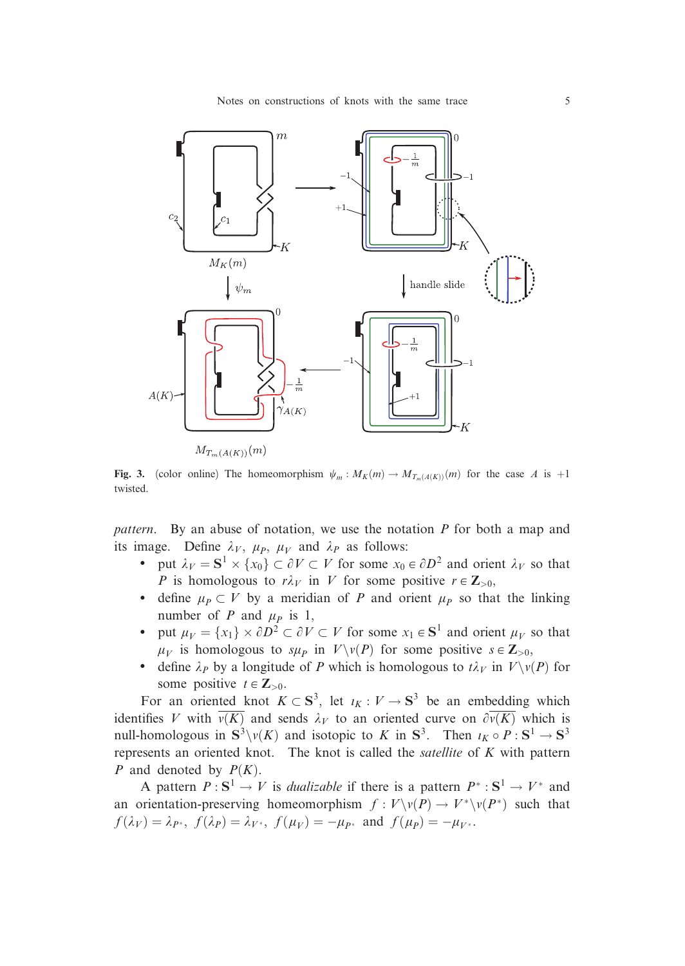

Fig. 3. (color online) The homeomorphism  $\psi_m : M_K(m) \to M_{T_m(A(K))}(m)$  for the case A is +1 twisted.

pattern. By an abuse of notation, we use the notation  $P$  for both a map and its image. Define  $\lambda_V$ ,  $\mu_P$ ,  $\mu_V$  and  $\lambda_P$  as follows:

- put  $\lambda_V = S^1 \times \{x_0\} \subset \partial V \subset V$  for some  $x_0 \in \partial D^2$  and orient  $\lambda_V$  so that P is homologous to  $r\lambda_V$  in V for some positive  $r \in \mathbb{Z}_{>0}$ ,
- define  $\mu_P \subset V$  by a meridian of P and orient  $\mu_P$  so that the linking number of P and  $\mu_P$  is 1,
- put  $\mu_V = \{x_1\} \times \partial D^2 \subset \partial V \subset V$  for some  $x_1 \in S^1$  and orient  $\mu_V$  so that  $\mu_V$  is homologous to  $s\mu_P$  in  $V\setminus v(P)$  for some positive  $s \in \mathbb{Z}_{>0}$ ,
- define  $\lambda_P$  by a longitude of P which is homologous to  $t\lambda_V$  in  $V\setminus v(P)$  for some positive  $t \in \mathbb{Z}_{>0}$ .

For an oriented knot  $K \subset S^3$ , let  $\iota_K : V \to S^3$  be an embedding which identifies V with  $\overline{v(K)}$  and sends  $\lambda_V$  to an oriented curve on  $\partial \overline{v(K)}$  which is null-homologous in  $S^3\setminus \nu(K)$  and isotopic to K in  $S^3$ . Then  $\iota_K \circ P : S^1 \to S^3$ represents an oriented knot. The knot is called the satellite of  $K$  with pattern P and denoted by  $P(K)$ .

A pattern  $P: S^1 \to V$  is *dualizable* if there is a pattern  $P^*: S^1 \to V^*$  and an orientation-preserving homeomorphism  $f: V\backslash v(P) \to V^*\backslash v(P^*)$  such that  $f(\lambda_V) = \lambda_{P^*}, f(\lambda_P) = \lambda_{V^*}, f(\mu_V) = -\mu_{P^*}$  and  $f(\mu_P) = -\mu_{V^*}.$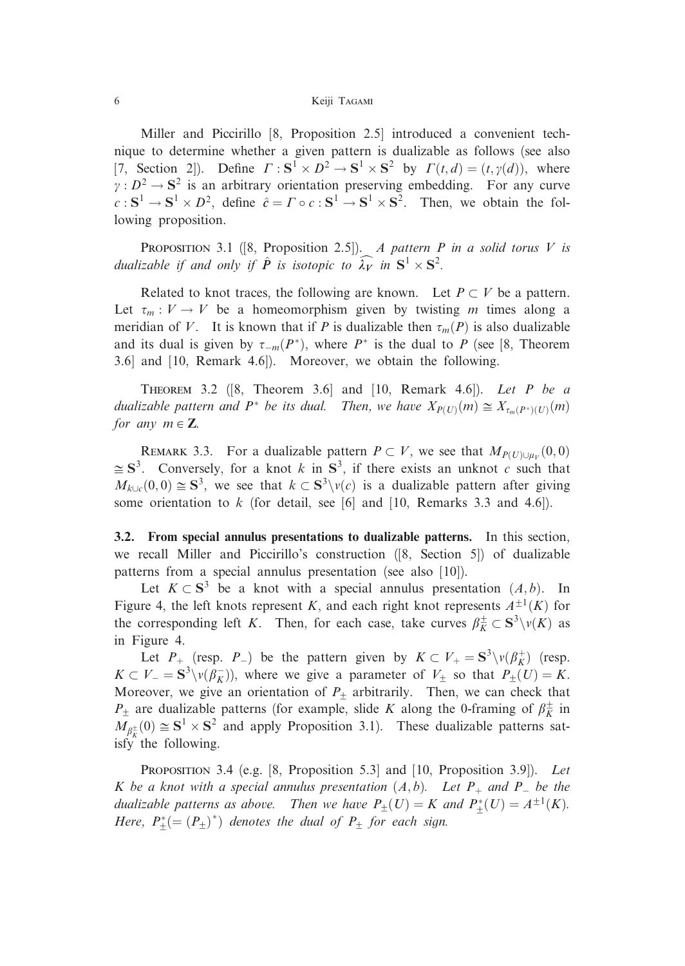Miller and Piccirillo [8, Proposition 2.5] introduced a convenient technique to determine whether a given pattern is dualizable as follows (see also [7, Section 2]). Define  $\Gamma : S^1 \times D^2 \to S^1 \times S^2$  by  $\Gamma(t, d) = (t, \gamma(d))$ , where  $y : D^2 \to S^2$  is an arbitrary orientation preserving embedding. For any curve  $c : S^1 \to S^1 \times D^2$ , define  $\hat{c} = \Gamma \circ c : S^1 \to S^1 \times S^2$ . Then, we obtain the following proposition.

PROPOSITION 3.1 ([8, Proposition 2.5]). A pattern P in a solid torus V is dualizable if and only if  $\hat{P}$  is isotopic to  $\widehat{\lambda_V}$  in  $\mathbf{S}^1 \times \mathbf{S}^2$ .

Related to knot traces, the following are known. Let  $P \subset V$  be a pattern. Let  $\tau_m : V \to V$  be a homeomorphism given by twisting m times along a meridian of V. It is known that if P is dualizable then  $\tau_m(P)$  is also dualizable and its dual is given by  $\tau_{-m}(P^*)$ , where  $P^*$  is the dual to P (see [8, Theorem 3.6] and [10, Remark 4.6]). Moreover, we obtain the following.

THEOREM 3.2  $([8, Theorem 3.6]$  and  $[10, Remark 4.6]$ . Let P be a dualizable pattern and  $P^*$  be its dual. Then, we have  $X_{P(U)}(m) \cong X_{\tau_m(P^*)(U)}(m)$ for any  $m \in \mathbb{Z}$ .

REMARK 3.3. For a dualizable pattern  $P \subset V$ , we see that  $M_{P(U)\cup u_v}(0,0)$  $\leq S^3$ . Conversely, for a knot k in  $S^3$ , if there exists an unknot c such that  $M_{k\cup c}(0,0) \cong S^3$ , we see that  $k \subset S^3\setminus v(c)$  is a dualizable pattern after giving some orientation to  $k$  (for detail, see [6] and [10, Remarks 3.3 and 4.6]).

3.2. From special annulus presentations to dualizable patterns. In this section, we recall Miller and Piccirillo's construction ([8, Section 5]) of dualizable patterns from a special annulus presentation (see also [10]).

Let  $K \subset S^3$  be a knot with a special annulus presentation  $(A, b)$ . In Figure 4, the left knots represent K, and each right knot represents  $A^{\pm 1}(K)$  for the corresponding left K. Then, for each case, take curves  $\beta_K^{\pm} \subset S^3 \setminus v(K)$  as in Figure 4.

Let  $P_+$  (resp.  $P_-$ ) be the pattern given by  $K \subset V_+ = \mathbf{S}^3 \setminus v(\beta_K^+)$  (resp.  $K \subset V = S^3 \setminus v(\beta_K^-)$ , where we give a parameter of  $V_{\pm}$  so that  $P_{\pm}(U) = K$ . Moreover, we give an orientation of  $P_+$  arbitrarily. Then, we can check that  $P_{\pm}$  are dualizable patterns (for example, slide K along the 0-framing of  $\beta_K^{\pm}$  in  $M_{\beta_{\overline{k}}^{\pm}}(0) \cong S^1 \times S^2$  and apply Proposition 3.1). These dualizable patterns satisfy the following.

PROPOSITION 3.4 (e.g. [8, Proposition 5.3] and [10, Proposition 3.9]). Let K be a knot with a special annulus presentation  $(A,b)$ . Let  $P_+$  and  $P_-$  be the dualizable patterns as above. Then we have  $P_{\pm}(U) = K$  and  $P_{+}^{*}(U) = A^{\pm 1}(K)$ . Here,  $P_{+}^{*} (= (P_{\pm})^{*})$  denotes the dual of  $P_{\pm}$  for each sign.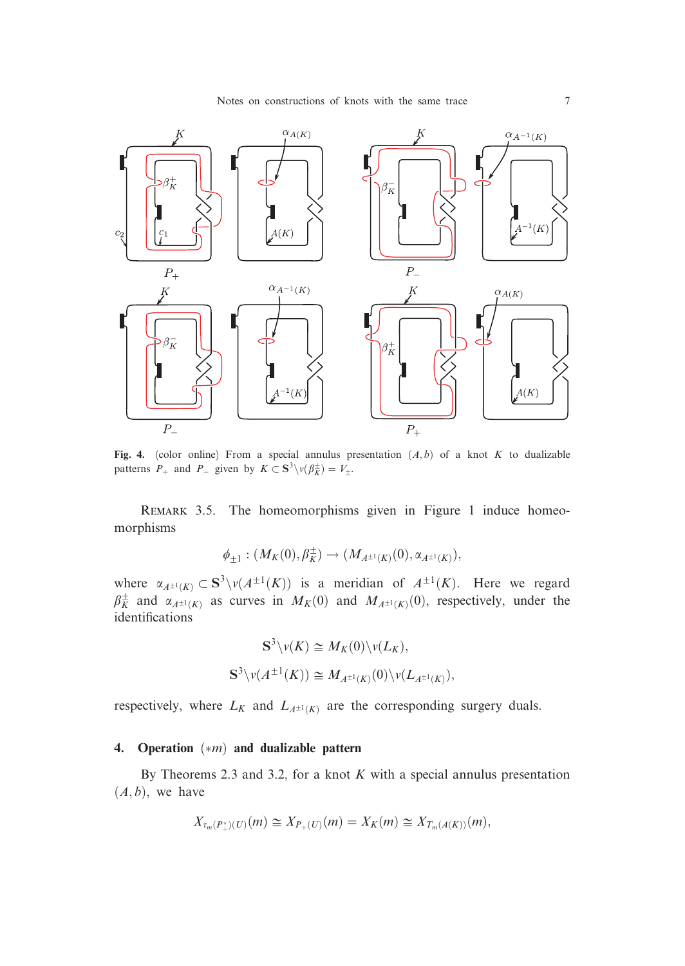

Fig. 4. (color online) From a special annulus presentation  $(A,b)$  of a knot K to dualizable patterns  $P_+$  and  $P_-$  given by  $K \subset S^3 \setminus v(\beta_K^{\pm}) = V_{\pm}$ .

REMARK 3.5. The homeomorphisms given in Figure 1 induce homeomorphisms

$$
\phi_{\pm 1}: (M_K(0), \beta_K^\pm) \to (M_{A^{\pm 1}(K)}(0), \alpha_{A^{\pm 1}(K)}),
$$

where  $\alpha_{A^{\pm 1}(K)} \subset S^3 \setminus \nu(A^{\pm 1}(K))$  is a meridian of  $A^{\pm 1}(K)$ . Here we regard  $\beta_K^{\pm}$  and  $\alpha_{A^{\pm 1}(K)}$  as curves in  $M_K(0)$  and  $M_{A^{\pm 1}(K)}(0)$ , respectively, under the identifications

$$
\mathbf{S}^{3}\backslash \nu(K) \cong M_{K}(0)\backslash \nu(L_{K}),
$$
  

$$
\mathbf{S}^{3}\backslash \nu(A^{\pm 1}(K)) \cong M_{A^{\pm 1}(K)}(0)\backslash \nu(L_{A^{\pm 1}(K)}),
$$

respectively, where  $L_K$  and  $L_{A^{\pm 1}(K)}$  are the corresponding surgery duals.

## 4. Operation  $(*m)$  and dualizable pattern

By Theorems 2.3 and 3.2, for a knot  $K$  with a special annulus presentation  $(A,b)$ , we have

$$
X_{\tau_m(P_+^*)(U)}(m) \cong X_{P_+(U)}(m) = X_K(m) \cong X_{T_m(A(K))}(m),
$$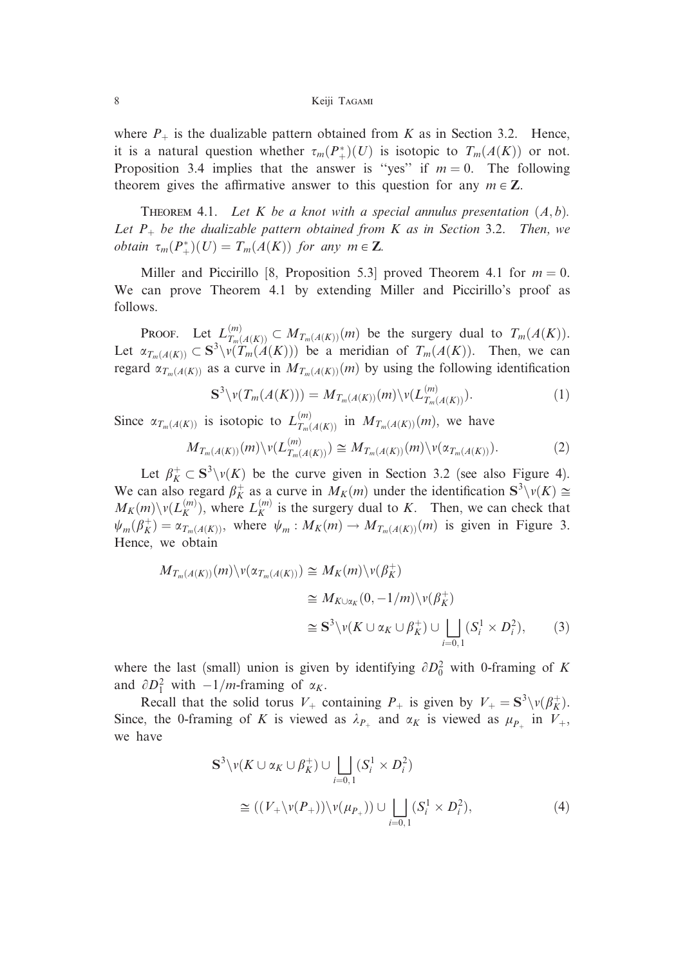#### 8 Keiji Tagami

where  $P_+$  is the dualizable pattern obtained from K as in Section 3.2. Hence, it is a natural question whether  $\tau_m(P_+^*)(U)$  is isotopic to  $T_m(A(K))$  or not. Proposition 3.4 implies that the answer is "yes" if  $m = 0$ . The following theorem gives the affirmative answer to this question for any  $m \in \mathbb{Z}$ .

THEOREM 4.1. Let K be a knot with a special annulus presentation  $(A, b)$ . Let  $P_+$  be the dualizable pattern obtained from K as in Section 3.2. Then, we obtain  $\tau_m(P_+^*)(U) = T_m(A(K))$  for any  $m \in \mathbb{Z}$ .

Miller and Piccirillo [8, Proposition 5.3] proved Theorem 4.1 for  $m = 0$ . We can prove Theorem 4.1 by extending Miller and Piccirillo's proof as follows.

**PROOF.** Let  $L_{T_m(A(K))}^{(m)} \subset M_{T_m(A(K))}(m)$  be the surgery dual to  $T_m(A(K))$ . Let  $\alpha_{T_m(A(K))} \subset S^3 \setminus V(T_m(A(K)))$  be a meridian of  $T_m(A(K))$ . Then, we can regard  $\alpha_{T_m(A(K))}$  as a curve in  $M_{T_m(A(K))}(m)$  by using the following identification

$$
\mathbf{S}^3 \setminus \nu(T_m(A(K))) = M_{T_m(A(K))}(m) \setminus \nu(L_{T_m(A(K))}^{(m)}).
$$
 (1)

Since  $\alpha_{T_m(A(K))}$  is isotopic to  $L_{T_m(A(K))}^{(m)}$  in  $M_{T_m(A(K))}(m)$ , we have

$$
M_{T_m(A(K))}(m)\backslash \nu(L_{T_m(A(K))}^{(m)})\cong M_{T_m(A(K))}(m)\backslash \nu(\alpha_{T_m(A(K))}).\tag{2}
$$

Let  $\beta_K^+ \subset S^3 \setminus v(K)$  be the curve given in Section 3.2 (see also Figure 4). We can also regard  $\beta_K^+$  as a curve in  $M_K(m)$  under the identification  $S^3 \setminus v(K) \cong$  $M_K(m) \setminus v(L_K^{(m)})$ , where  $L_K^{(m)}$  is the surgery dual to K. Then, we can check that  $\psi_m(\beta_K^+) = \alpha_{T_m(A(K))}$ , where  $\psi_m : M_K(m) \to M_{T_m(A(K))}(m)$  is given in Figure 3. Hence, we obtain

$$
M_{T_m(A(K))}(m)\vee(\alpha_{T_m(A(K))}) \cong M_K(m)\vee(\beta_K^+)
$$
  
\n
$$
\cong M_{K\cup\alpha_K}(0, -1/m)\vee(\beta_K^+)
$$
  
\n
$$
\cong S^3\vee(\gamma_K\cup\alpha_K\cup\beta_K^+) \cup \bigsqcup_{i=0,1} (S_i^1 \times D_i^2),
$$
 (3)

where the last (small) union is given by identifying  $\partial D_0^2$  with 0-framing of K and  $\partial D_1^2$  with  $-1/m$ -framing of  $\alpha_K$ .

Recall that the solid torus  $V_+$  containing  $P_+$  is given by  $V_+ = \mathbf{S}^3 \setminus v(\beta_K^+)$ . Since, the 0-framing of K is viewed as  $\lambda_{P_+}$  and  $\alpha_K$  is viewed as  $\mu_{P_+}$  in  $V_+$ , we have

$$
S^{3}\backslash \nu(K \cup \alpha_{K} \cup \beta_{K}^{+}) \cup \bigsqcup_{i=0,1} (S_{i}^{1} \times D_{i}^{2})
$$
  
\n
$$
\cong ((V_{+}\backslash \nu(P_{+}))\backslash \nu(\mu_{P_{+}})) \cup \bigsqcup_{i=0,1} (S_{i}^{1} \times D_{i}^{2}),
$$
\n(4)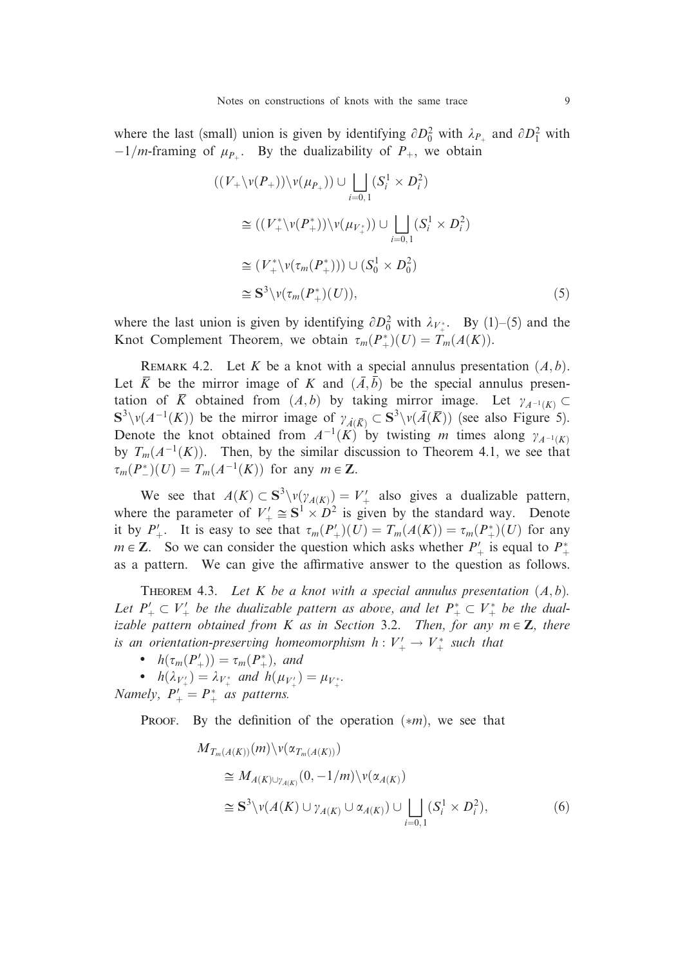where the last (small) union is given by identifying  $\partial D_0^2$  with  $\lambda_{P_+}$  and  $\partial D_1^2$  with  $-1/m$ -framing of  $\mu_{P_+}$ . By the dualizability of  $P_+$ , we obtain

$$
((V_{+}\backslash v(P_{+}))\backslash v(\mu_{P_{+}})) \cup \bigsqcup_{i=0,1} (S_{i}^{1} \times D_{i}^{2})
$$
  
\n
$$
\cong ((V_{+}^{*}\backslash v(P_{+}^{*}))\backslash v(\mu_{V_{+}^{*}})) \cup \bigsqcup_{i=0,1} (S_{i}^{1} \times D_{i}^{2})
$$
  
\n
$$
\cong (V_{+}^{*}\backslash v(\tau_{m}(P_{+}^{*}))) \cup (S_{0}^{1} \times D_{0}^{2})
$$
  
\n
$$
\cong S^{3}\backslash v(\tau_{m}(P_{+}^{*})(U)), \qquad (5)
$$

where the last union is given by identifying  $\partial D_0^2$  with  $\lambda_{V^*+}$ . By (1)–(5) and the Knot Complement Theorem, we obtain  $\tau_m(P_+^*)(U) = T_m(A(K)).$ 

REMARK 4.2. Let K be a knot with a special annulus presentation  $(A, b)$ . Let  $\overline{K}$  be the mirror image of K and  $(\overline{A}, \overline{b})$  be the special annulus presentation of  $\overline{K}$  obtained from  $(A, b)$  by taking mirror image. Let  $\gamma_{A^{-1}(K)} \subset$  $S^3 \setminus \nu(A^{-1}(K))$  be the mirror image of  $\gamma_{A(\overline{K})} \subset S^3 \setminus \nu(\overline{A}(\overline{K}))$  (see also Figure 5). Denote the knot obtained from  $A^{-1}(K)$  by twisting m times along  $\gamma_{A^{-1}(K)}$ by  $T_m(A^{-1}(K))$ . Then, by the similar discussion to Theorem 4.1, we see that  $\tau_m(P_{-}^*)(U) = T_m(A^{-1}(K))$  for any  $m \in \mathbb{Z}$ .

We see that  $A(K) \subset S^3 \setminus \nu(\gamma_{A(K)}) = V'_+$  also gives a dualizable pattern, where the parameter of  $V'_+ \cong S^1 \times D^2$  is given by the standard way. Denote it by  $P'_{+}$ . It is easy to see that  $\tau_m(P'_{+})(U) = T_m(A(K)) = \tau_m(P^*_{+})(U)$  for any  $m \in \mathbb{Z}$ . So we can consider the question which asks whether  $P'_{+}$  is equal to  $P_{+}^{*}$ as a pattern. We can give the affirmative answer to the question as follows.

THEOREM 4.3. Let K be a knot with a special annulus presentation  $(A, b)$ . Let  $P_+ \nightharpoonup V_+$  be the dualizable pattern as above, and let  $P_+^* \nightharpoonup V_+^*$  be the dualizable pattern obtained from K as in Section 3.2. Then, for any  $m \in \mathbb{Z}$ , there is an orientation-preserving homeomorphism  $h: V'_+ \to V^*_+$  such that

- $h(\tau_m(P_+')) = \tau_m(P_+^*)$ , and
- $h(\lambda_{V'_{+}}) = \lambda_{V_{+}^{*}}$  and  $h(\mu_{V'_{+}}) = \mu_{V_{+}^{*}}$ .

Namely,  $P'_{+} = P_{+}^{*}$  as patterns.

**PROOF.** By the definition of the operation  $(*m)$ , we see that

$$
M_{T_m(A(K))}(m)\vee(\alpha_{T_m(A(K))})
$$
  
\n
$$
\cong M_{A(K)\cup\gamma_{A(K)}}(0, -1/m)\vee(\alpha_{A(K)})
$$
  
\n
$$
\cong S^3\vee(\alpha(K)\cup\gamma_{A(K)}\cup\alpha_{A(K)})\cup \bigsqcup_{i=0,1} (S_i^1 \times D_i^2),
$$
\n(6)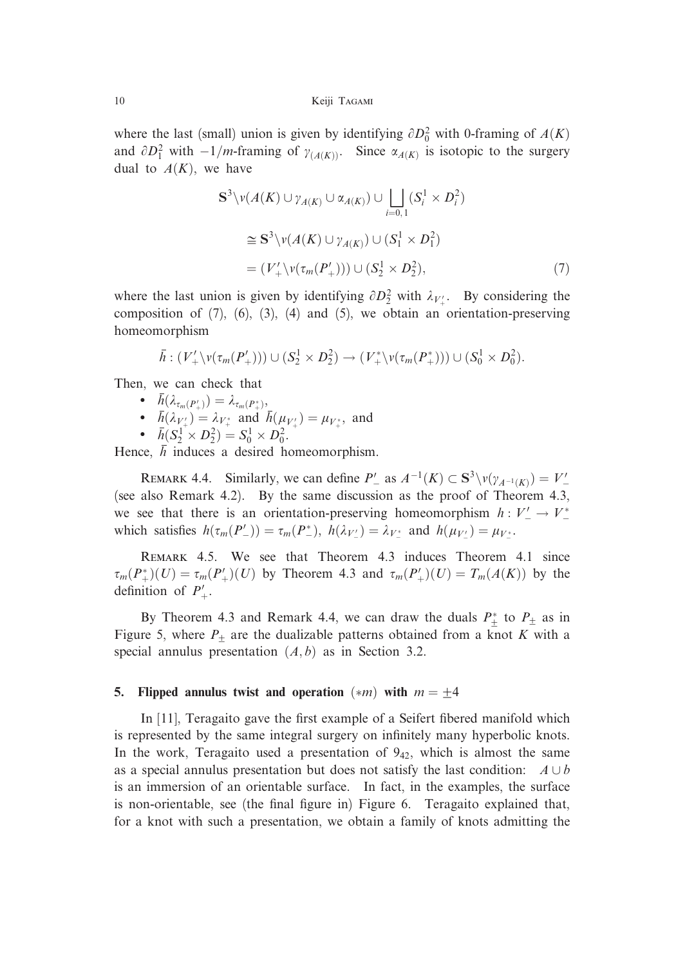10 Keiji Tagami

where the last (small) union is given by identifying  $\partial D_0^2$  with 0-framing of  $A(K)$ and  $\partial D_1^2$  with  $-1/m$ -framing of  $\gamma_{(A(K))}$ . Since  $\alpha_{A(K)}$  is isotopic to the surgery dual to  $A(K)$ , we have

$$
\mathbf{S}^{3} \setminus v(A(K) \cup \gamma_{A(K)} \cup \alpha_{A(K)}) \cup \bigsqcup_{i=0,1} (S_{i}^{1} \times D_{i}^{2})
$$
  
\n
$$
\cong \mathbf{S}^{3} \setminus v(A(K) \cup \gamma_{A(K)}) \cup (S_{1}^{1} \times D_{1}^{2})
$$
  
\n
$$
= (V'_{+} \setminus v(\tau_{m}(P'_{+}))) \cup (S_{2}^{1} \times D_{2}^{2}), \tag{7}
$$

where the last union is given by identifying  $\partial D_2^2$  with  $\lambda_{V'_+}$ . By considering the composition of  $(7)$ ,  $(6)$ ,  $(3)$ ,  $(4)$  and  $(5)$ , we obtain an orientation-preserving homeomorphism

$$
\overline{h}:(V'_+\backslash v(\tau_m(P'_+)))\cup (S_2^1\times D_2^2)\rightarrow (V^*_+\backslash v(\tau_m(P^*_+)))\cup (S_0^1\times D_0^2).
$$

Then, we can check that

- $\begin{array}{ll} \bullet & h(\lambda_{\tau_m(P_+')}) = \lambda_{\tau_m(P_+^*)}, \end{array}$
- $h(\lambda_{V'_{+}}) = \lambda_{V_{+}^{*}}$  and  $h(\mu_{V'_{+}}) = \mu_{V_{+}^{*}}$ , and

• 
$$
\bar{h}(S_2^1 \times D_2^2) = S_0^1 \times D_0^2
$$
.

Hence, h induces a desired homeomorphism.

REMARK 4.4. Similarly, we can define  $P'_{-}$  as  $A^{-1}(K) \subset S^3 \setminus \nu(\gamma_{A^{-1}(K)}) = V'_{-}$ (see also Remark 4.2). By the same discussion as the proof of Theorem 4.3, we see that there is an orientation-preserving homeomorphism  $h: V'_{-} \to V_{-}^{*}$ which satisfies  $h(\tau_m(P'_{-})) = \tau_m(P^*_{-}), h(\lambda_{V'_{-}}) = \lambda_{V_{-}^*}$  and  $h(\mu_{V'_{-}}) = \mu_{V_{-}^*}.$ 

Remark 4.5. We see that Theorem 4.3 induces Theorem 4.1 since  $\tau_m(P_+^*)(U) = \tau_m(P_+')(U)$  by Theorem 4.3 and  $\tau_m(P_+')(U) = T_m(A(K))$  by the definition of  $P'_{+}$ .

By Theorem 4.3 and Remark 4.4, we can draw the duals  $P^*$  to  $P_{\pm}$  as in Figure 5, where  $P_+$  are the dualizable patterns obtained from a knot K with a special annulus presentation  $(A, b)$  as in Section 3.2.

# 5. Flipped annulus twist and operation  $(*m)$  with  $m = \pm 4$

In [11], Teragaito gave the first example of a Seifert fibered manifold which is represented by the same integral surgery on infinitely many hyperbolic knots. In the work, Teragaito used a presentation of  $9_{42}$ , which is almost the same as a special annulus presentation but does not satisfy the last condition:  $A \cup b$ is an immersion of an orientable surface. In fact, in the examples, the surface is non-orientable, see (the final figure in) Figure 6. Teragaito explained that, for a knot with such a presentation, we obtain a family of knots admitting the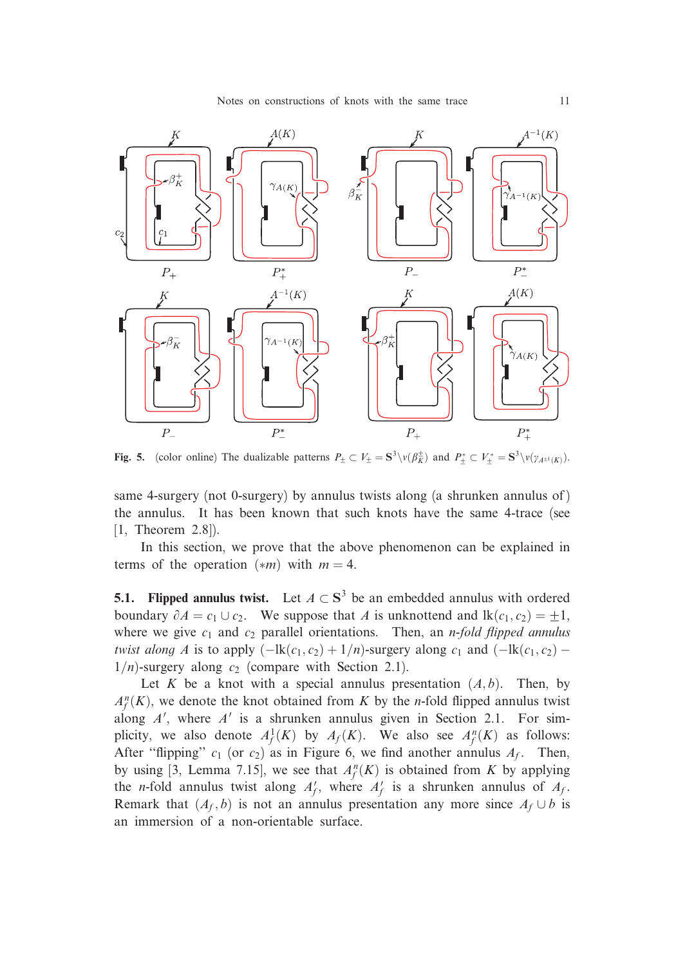

Fig. 5. (color online) The dualizable patterns  $P_{\pm} \subset V_{\pm} = S^3 \setminus v(\beta_K^{\pm})$  and  $P_{\pm}^* \subset V_{\pm}^* = S^3 \setminus v(\gamma_{A^{\pm 1}(K)})$ .

same 4-surgery (not 0-surgery) by annulus twists along (a shrunken annulus of) the annulus. It has been known that such knots have the same 4-trace (see [1, Theorem 2.8]).

In this section, we prove that the above phenomenon can be explained in terms of the operation  $(*m)$  with  $m = 4$ .

**5.1. Flipped annulus twist.** Let  $A \subset S^3$  be an embedded annulus with ordered boundary  $\partial A = c_1 \cup c_2$ . We suppose that A is unknottend and  $\text{lk}(c_1, c_2) = \pm 1$ , where we give  $c_1$  and  $c_2$  parallel orientations. Then, an *n-fold flipped annulus* twist along A is to apply  $(-\text{lk}(c_1, c_2) + 1/n)$ -surgery along  $c_1$  and  $(-\text{lk}(c_1, c_2) 1/n$ -surgery along  $c_2$  (compare with Section 2.1).

Let K be a knot with a special annulus presentation  $(A, b)$ . Then, by  $A_f^n(K)$ , we denote the knot obtained from K by the *n*-fold flipped annulus twist along  $A'$ , where  $A'$  is a shrunken annulus given in Section 2.1. For simplicity, we also denote  $A_f^1(K)$  by  $A_f(K)$ . We also see  $A_f^n(K)$  as follows: After "flipping"  $c_1$  (or  $c_2$ ) as in Figure 6, we find another annulus  $A_f$ . Then, by using [3, Lemma 7.15], we see that  $A_f^n(K)$  is obtained from K by applying the *n*-fold annulus twist along  $A_f'$ , where  $A_f'$  is a shrunken annulus of  $A_f$ . Remark that  $(A_f, b)$  is not an annulus presentation any more since  $A_f \cup b$  is an immersion of a non-orientable surface.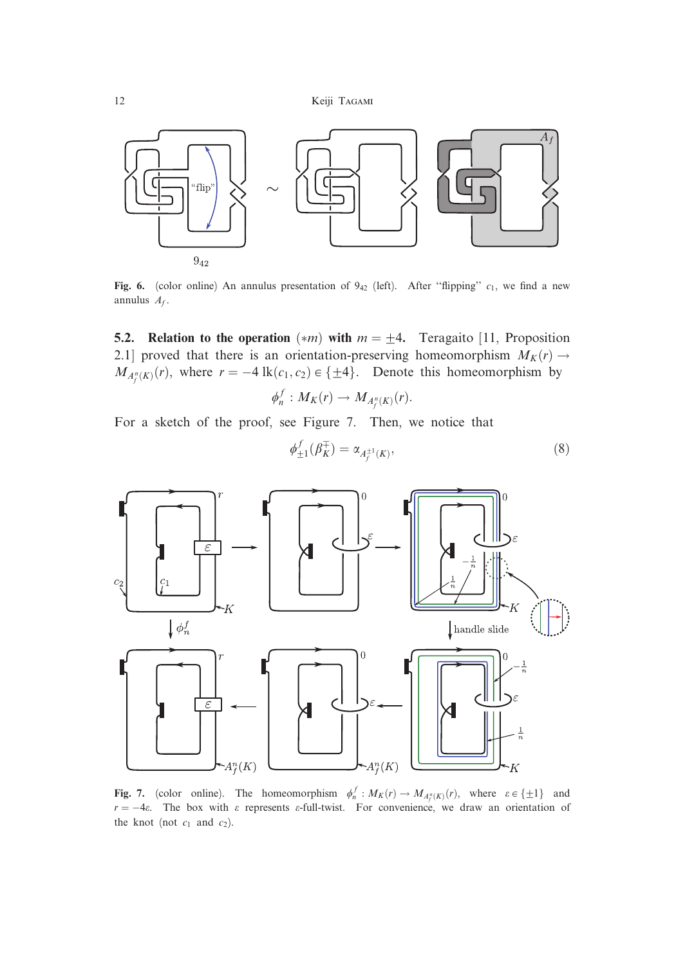

Fig. 6. (color online) An annulus presentation of  $9_{42}$  (left). After "flipping"  $c_1$ , we find a new annulus  $A_f$ .

**5.2.** Relation to the operation  $(*m)$  with  $m = \pm 4$ . Teragaito [11, Proposition 2.1] proved that there is an orientation-preserving homeomorphism  $M_K(r) \rightarrow$  $M_{A_f^n(K)}(r)$ , where  $r = -4 \text{ lk}(c_1, c_2) \in \{\pm 4\}$ . Denote this homeomorphism by

$$
\phi_n^f: M_K(r) \to M_{A_f^n(K)}(r).
$$

For a sketch of the proof, see Figure 7. Then, we notice that

$$
\phi_{\pm 1}^f(\beta_K^{\mp}) = \alpha_{A_f^{\pm 1}(K)},\tag{8}
$$



Fig. 7. (color online). The homeomorphism  $\phi_n^f : M_K(r) \to M_{A_f^p(K)}(r)$ , where  $\varepsilon \in \{\pm 1\}$  and  $r = -4\varepsilon$ . The box with  $\varepsilon$  represents  $\varepsilon$ -full-twist. For convenience, we draw an orientation of the knot (not  $c_1$  and  $c_2$ ).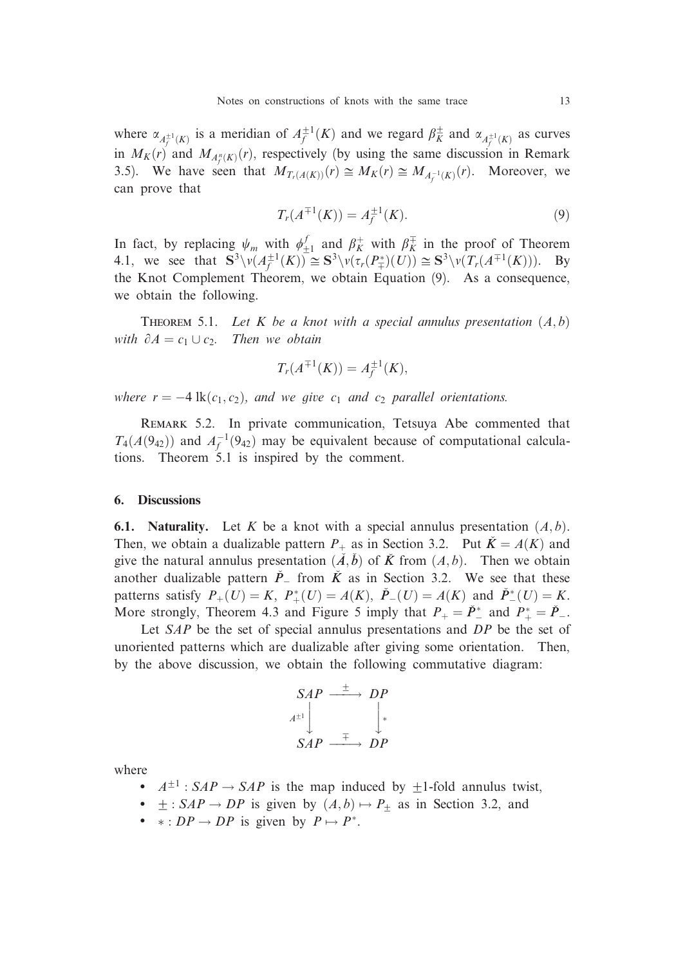where  $\alpha_{A_f^{\pm 1}(K)}$  is a meridian of  $A_f^{\pm 1}(K)$  and we regard  $\beta_K^{\pm}$  and  $\alpha_{A_f^{\pm 1}(K)}$  as curves in  $M_K(r)$  and  $M_{A_f^n(K)}(r)$ , respectively (by using the same discussion in Remark 3.5). We have seen that  $M_{T_r(A(K))}(r) \cong M_K(r) \cong M_{A_f^{-1}(K)}(r)$ . Moreover, we can prove that

$$
T_r(A^{\mp 1}(K)) = A_f^{\pm 1}(K). \tag{9}
$$

In fact, by replacing  $\psi_m$  with  $\phi_{\pm 1}^f$  and  $\beta_K^+$  with  $\beta_K^+$  in the proof of Theorem 4.1, we see that  $S^3 \setminus \overline{\nu(A_f^{\pm 1}(K))} \cong S^3 \setminus \overline{\nu(\tau_r(P_{\pm}^*)(U))} \cong S^3 \setminus \overline{\nu(T_r(A^{\mp 1}(K)))}$ . By the Knot Complement Theorem, we obtain Equation (9). As a consequence, we obtain the following.

THEOREM 5.1. Let K be a knot with a special annulus presentation  $(A,b)$ with  $\partial A = c_1 \cup c_2$ . Then we obtain

$$
T_r(A^{\mp 1}(K)) = A_f^{\pm 1}(K),
$$

where  $r = -4 \, \text{lk}(c_1, c_2)$ , and we give  $c_1$  and  $c_2$  parallel orientations.

Remark 5.2. In private communication, Tetsuya Abe commented that  $T_4(A(9_{42}))$  and  $A_f^{-1}(9_{42})$  may be equivalent because of computational calculations. Theorem 5.1 is inspired by the comment.

## 6. Discussions

**6.1. Naturality.** Let K be a knot with a special annulus presentation  $(A, b)$ . Then, we obtain a dualizable pattern  $P_+$  as in Section 3.2. Put  $K = A(K)$  and give the natural annulus presentation  $(\tilde{A}, \tilde{b})$  of  $\tilde{K}$  from  $(A, b)$ . Then we obtain another dualizable pattern  $\dot{P}$  from  $\dot{K}$  as in Section 3.2. We see that these patterns satisfy  $P_+(U) = K$ ,  $P_+(U) = A(K)$ ,  $\check{P}_-(U) = A(K)$  and  $\check{P}_-(U) = K$ . More strongly, Theorem 4.3 and Figure 5 imply that  $P_+ = \check{P}_-^*$  and  $P_+^* = \check{P}_-$ .

Let  $SAP$  be the set of special annulus presentations and  $DP$  be the set of unoriented patterns which are dualizable after giving some orientation. Then, by the above discussion, we obtain the following commutative diagram:

$$
SAP \xrightarrow{\pm} DP
$$
  

$$
A^{\pm 1} \downarrow \qquad \qquad \downarrow^*
$$
  

$$
SAP \xrightarrow{\mp} DP
$$

where

- $\bullet$   $A^{\pm 1}$ :  $SAP \rightarrow SAP$  is the map induced by  $\pm 1$ -fold annulus twist,
- $\bullet$   $\pm$ : SAP  $\rightarrow$  DP is given by  $(A,b) \mapsto P_{\pm}$  as in Section 3.2, and
- $\ast : DP \rightarrow DP$  is given by  $P \mapsto P^*$ .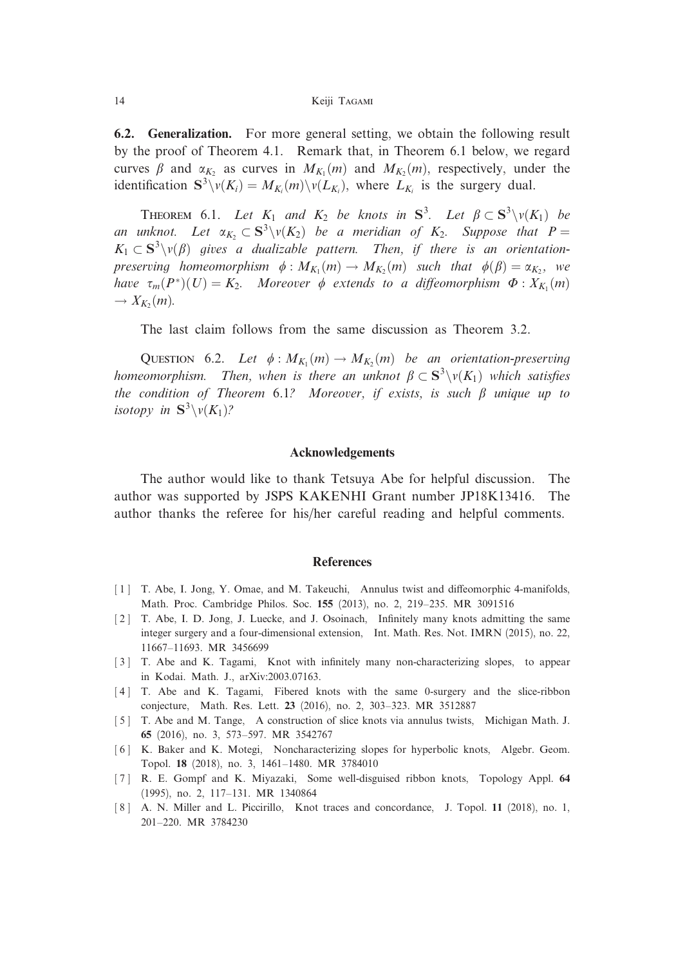6.2. Generalization. For more general setting, we obtain the following result by the proof of Theorem 4.1. Remark that, in Theorem 6.1 below, we regard curves  $\beta$  and  $\alpha_{K_2}$  as curves in  $M_{K_1}(m)$  and  $M_{K_2}(m)$ , respectively, under the identification  $S^3 \setminus \nu(K_i) = M_{K_i}(m) \setminus \nu(L_{K_i})$ , where  $L_{K_i}$  is the surgery dual.

**THEOREM** 6.1. Let  $K_1$  and  $K_2$  be knots in  $S^3$ . Let  $\beta \subset S^3 \setminus v(K_1)$  be an unknot. Let  $\alpha_{K_2} \subset S^3 \setminus v(K_2)$  be a meridian of  $K_2$ . Suppose that  $P =$  $K_1 \subset S^3\setminus v(\beta)$  gives a dualizable pattern. Then, if there is an orientationpreserving homeomorphism  $\phi : M_{K_1}(m) \to M_{K_2}(m)$  such that  $\phi(\beta) = \alpha_{K_2}$ , we have  $\tau_m(P^*)(U) = K_2$ . Moreover  $\phi$  extends to a diffeomorphism  $\Phi : X_{K_1}(m)$  $\rightarrow X_K(m)$ .

The last claim follows from the same discussion as Theorem 3.2.

QUESTION 6.2. Let  $\phi : M_{K_1}(m) \to M_{K_2}(m)$  be an orientation-preserving homeomorphism. Then, when is there an unknot  $\beta \subset S^3\backslash \nu(K_1)$  which satisfies the condition of Theorem 6.1? Moreover, if exists, is such  $\beta$  unique up to isotopy in  $S^3\setminus v(K_1)$ ?

## Acknowledgements

The author would like to thank Tetsuya Abe for helpful discussion. The author was supported by JSPS KAKENHI Grant number JP18K13416. The author thanks the referee for his/her careful reading and helpful comments.

#### References

- [1] T. Abe, I. Jong, Y. Omae, and M. Takeuchi, Annulus twist and diffeomorphic 4-manifolds, Math. Proc. Cambridge Philos. Soc. 155 (2013), no. 2, 219–235. MR 3091516
- [2] T. Abe, I. D. Jong, J. Luecke, and J. Osoinach, Infinitely many knots admitting the same integer surgery and a four-dimensional extension, Int. Math. Res. Not. IMRN (2015), no. 22, 11667–11693. MR 3456699
- [3] T. Abe and K. Tagami, Knot with infinitely many non-characterizing slopes, to appear in Kodai. Math. J., arXiv:2003.07163.
- [ 4 ] T. Abe and K. Tagami, Fibered knots with the same 0-surgery and the slice-ribbon conjecture, Math. Res. Lett. 23 (2016), no. 2, 303–323. MR 3512887
- [ 5 ] T. Abe and M. Tange, A construction of slice knots via annulus twists, Michigan Math. J. 65 (2016), no. 3, 573–597. MR 3542767
- [ 6 ] K. Baker and K. Motegi, Noncharacterizing slopes for hyperbolic knots, Algebr. Geom. Topol. 18 (2018), no. 3, 1461–1480. MR 3784010
- [ 7 ] R. E. Gompf and K. Miyazaki, Some well-disguised ribbon knots, Topology Appl. 64 (1995), no. 2, 117–131. MR 1340864
- [8] A. N. Miller and L. Piccirillo, Knot traces and concordance, J. Topol. 11 (2018), no. 1, 201–220. MR 3784230